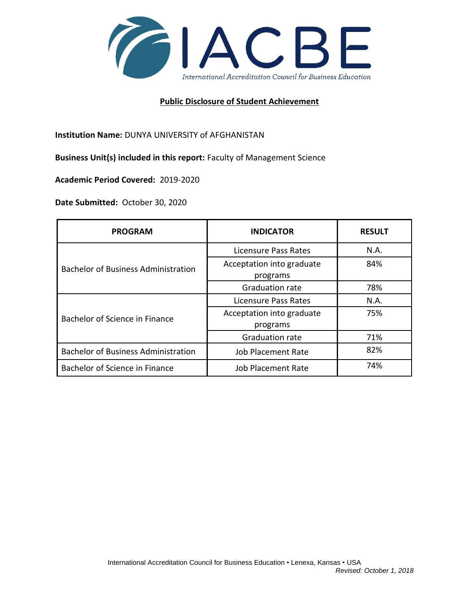

## **Public Disclosure of Student Achievement**

**Institution Name:** DUNYA UNIVERSITY of AFGHANISTAN

**Business Unit(s) included in this report:** Faculty of Management Science

**Academic Period Covered:** 2019-2020

**Date Submitted:** October 30, 2020

| <b>PROGRAM</b>                             | <b>INDICATOR</b>                      | <b>RESULT</b> |
|--------------------------------------------|---------------------------------------|---------------|
| <b>Bachelor of Business Administration</b> | Licensure Pass Rates                  | N.A.          |
|                                            | Acceptation into graduate<br>programs | 84%           |
|                                            | Graduation rate                       | 78%           |
| Bachelor of Science in Finance             | Licensure Pass Rates                  | N.A.          |
|                                            | Acceptation into graduate<br>programs | 75%           |
|                                            | <b>Graduation rate</b>                | 71%           |
| <b>Bachelor of Business Administration</b> | <b>Job Placement Rate</b>             | 82%           |
| Bachelor of Science in Finance             | Job Placement Rate                    | 74%           |